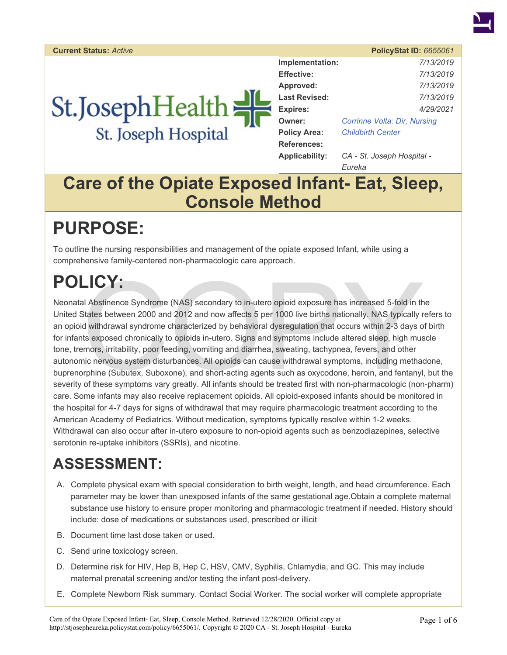**Current Status:** *Active* **PolicyStat ID:** *6655061* 

# St.JosephHealth St. Joseph Hospital

| Implementation:       | 7/13/2019                    |  |
|-----------------------|------------------------------|--|
| <b>Effective:</b>     | 7/13/2019                    |  |
| Approved:             | 7/13/2019                    |  |
| <b>Last Revised:</b>  | 7/13/2019                    |  |
| <b>Expires:</b>       | 4/29/2021                    |  |
| Owner:                | Corrinne Volta: Dir, Nursing |  |
| <b>Policy Area:</b>   | <b>Childbirth Center</b>     |  |
| <b>References:</b>    |                              |  |
| <b>Applicability:</b> | CA - St. Joseph Hospital -   |  |

*Eureka* 

## **Care of the Opiate Exposed Infant- Eat, Sleep, Console Method**

## **PURPOSE:**

To outline the nursing responsibilities and management of the opiate exposed Infant, while using a comprehensive family-centered non-pharmacologic care approach.

## **POLICY:**

LICY:<br>
al Abstinence Syndrome (NAS) secondary to in-utero opioid exposure has increased 5-fold in th<br>
States between 2000 and 2012 and now affects 5 per 1000 live births nationally. NAS typically r<br>
d withdrawal syndrome c Neonatal Abstinence Syndrome (NAS) secondary to in-utero opioid exposure has increased 5-fold in the United States between 2000 and 2012 and now affects 5 per 1000 live births nationally. NAS typically refers to an opioid withdrawal syndrome characterized by behavioral dysregulation that occurs within 2-3 days of birth for infants exposed chronically to opioids in-utero. Signs and symptoms include altered sleep, high muscle tone, tremors, irritability, poor feeding, vomiting and diarrhea, sweating, tachypnea, fevers, and other autonomic nervous system disturbances. All opioids can cause withdrawal symptoms, including methadone, buprenorphine (Subutex, Suboxone), and short-acting agents such as oxycodone, heroin, and fentanyl, but the severity of these symptoms vary greatly. All infants should be treated first with non-pharmacologic (non-pharm) care. Some infants may also receive replacement opioids. All opioid-exposed infants should be monitored in the hospital for 4-7 days for signs of withdrawal that may require pharmacologic treatment according to the American Academy of Pediatrics. Without medication, symptoms typically resolve within 1-2 weeks. Withdrawal can also occur after in-utero exposure to non-opioid agents such as benzodiazepines, selective serotonin re-uptake inhibitors (SSRIs), and nicotine.

## **ASSESSMENT:**

- A. Complete physical exam with special consideration to birth weight, length, and head circumference. Each parameter may be lower than unexposed infants of the same gestational age.Obtain a complete maternal substance use history to ensure proper monitoring and pharmacologic treatment if needed. History should include: dose of medications or substances used, prescribed or illicit
- B. Document time last dose taken or used.
- C. Send urine toxicology screen.
- D. Determine risk for HIV, Hep B, Hep C, HSV, CMV, Syphilis, Chlamydia, and GC. This may include maternal prenatal screening and/or testing the infant post-delivery.
- E. Complete Newborn Risk summary. Contact Social Worker. The social worker will complete appropriate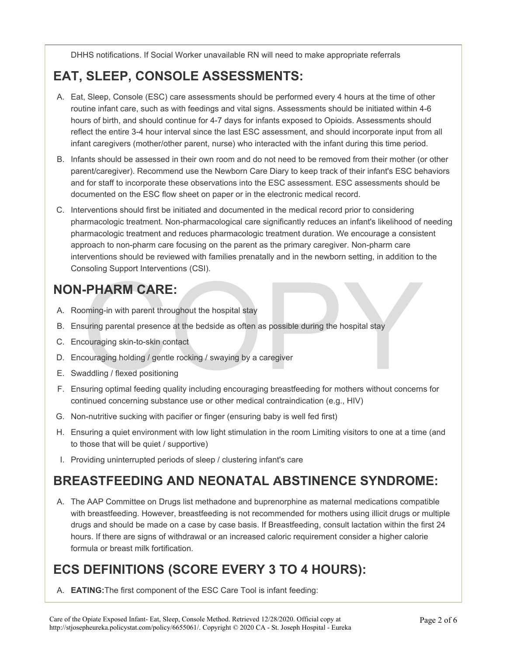DHHS notifications. If Social Worker unavailable RN will need to make appropriate referrals

## **EAT, SLEEP, CONSOLE ASSESSMENTS:**

- A. Eat, Sleep, Console (ESC) care assessments should be performed every 4 hours at the time of other routine infant care, such as with feedings and vital signs. Assessments should be initiated within 4-6 hours of birth, and should continue for 4-7 days for infants exposed to Opioids. Assessments should reflect the entire 3-4 hour interval since the last ESC assessment, and should incorporate input from all infant caregivers (mother/other parent, nurse) who interacted with the infant during this time period.
- B. Infants should be assessed in their own room and do not need to be removed from their mother (or other parent/caregiver). Recommend use the Newborn Care Diary to keep track of their infant's ESC behaviors and for staff to incorporate these observations into the ESC assessment. ESC assessments should be documented on the ESC flow sheet on paper or in the electronic medical record.
- C. Interventions should first be initiated and documented in the medical record prior to considering pharmacologic treatment. Non-pharmacological care significantly reduces an infant's likelihood of needing pharmacologic treatment and reduces pharmacologic treatment duration. We encourage a consistent approach to non-pharm care focusing on the parent as the primary caregiver. Non-pharm care interventions should be reviewed with families prenatally and in the newborn setting, in addition to the Consoling Support Interventions (CSI).

## **NON-PHARM CARE:**

- A. Rooming-in with parent throughout the hospital stay
- FORM CARE:<br>
ining-in with parent throughout the hospital stay<br>
suring parental presence at the bedside as often as possible during the hospital stay<br>
couraging skin-to-skin contact<br>
couraging holding / gentle rocking / swa B. Ensuring parental presence at the bedside as often as possible during the hospital stay
- C. Encouraging skin-to-skin contact
- D. Encouraging holding / gentle rocking / swaying by a caregiver
- E. Swaddling / flexed positioning
- F. Ensuring optimal feeding quality including encouraging breastfeeding for mothers without concerns for continued concerning substance use or other medical contraindication (e.g., HIV)
- G. Non-nutritive sucking with pacifier or finger (ensuring baby is well fed first)
- H. Ensuring a quiet environment with low light stimulation in the room Limiting visitors to one at a time (and to those that will be quiet / supportive)
- I. Providing uninterrupted periods of sleep / clustering infant's care

### **BREASTFEEDING AND NEONATAL ABSTINENCE SYNDROME:**

A. The AAP Committee on Drugs list methadone and buprenorphine as maternal medications compatible with breastfeeding. However, breastfeeding is not recommended for mothers using illicit drugs or multiple drugs and should be made on a case by case basis. If Breastfeeding, consult lactation within the first 24 hours. If there are signs of withdrawal or an increased caloric requirement consider a higher calorie formula or breast milk fortification.

## **ECS DEFINITIONS (SCORE EVERY 3 TO 4 HOURS):**

A. **EATING:**The first component of the ESC Care Tool is infant feeding: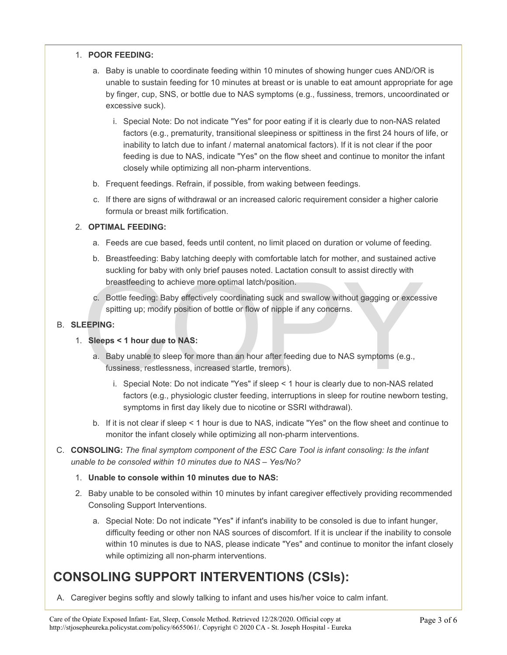#### 1. **POOR FEEDING:**

- a. Baby is unable to coordinate feeding within 10 minutes of showing hunger cues AND/OR is unable to sustain feeding for 10 minutes at breast or is unable to eat amount appropriate for age by finger, cup, SNS, or bottle due to NAS symptoms (e.g., fussiness, tremors, uncoordinated or excessive suck).
	- i. Special Note: Do not indicate "Yes" for poor eating if it is clearly due to non-NAS related factors (e.g., prematurity, transitional sleepiness or spittiness in the first 24 hours of life, or inability to latch due to infant / maternal anatomical factors). If it is not clear if the poor feeding is due to NAS, indicate "Yes" on the flow sheet and continue to monitor the infant closely while optimizing all non-pharm interventions.
- b. Frequent feedings. Refrain, if possible, from waking between feedings.
- c. If there are signs of withdrawal or an increased caloric requirement consider a higher calorie formula or breast milk fortification.

#### 2. **OPTIMAL FEEDING:**

- a. Feeds are cue based, feeds until content, no limit placed on duration or volume of feeding.
- b. Breastfeeding: Baby latching deeply with comfortable latch for mother, and sustained active suckling for baby with only brief pauses noted. Lactation consult to assist directly with breastfeeding to achieve more optimal latch/position.
- Suching for baby with only blick plasses hoted. Eactation constant to assist differently with<br>breastfeeding to achieve more optimal latch/position.<br>C. Bottle feeding: Baby effectively coordinating suck and swallow without c. Bottle feeding: Baby effectively coordinating suck and swallow without gagging or excessive spitting up; modify position of bottle or flow of nipple if any concerns.

#### B. **SLEEPING:**

- 1. **Sleeps < 1 hour due to NAS:** 
	- a. Baby unable to sleep for more than an hour after feeding due to NAS symptoms (e.g., fussiness, restlessness, increased startle, tremors).
		- i. Special Note: Do not indicate "Yes" if sleep < 1 hour is clearly due to non-NAS related factors (e.g., physiologic cluster feeding, interruptions in sleep for routine newborn testing, symptoms in first day likely due to nicotine or SSRI withdrawal).
	- b. If it is not clear if sleep < 1 hour is due to NAS, indicate "Yes" on the flow sheet and continue to monitor the infant closely while optimizing all non-pharm interventions.
- C. **CONSOLING:** *The final symptom component of the ESC Care Tool is infant consoling: Is the infant unable to be consoled within 10 minutes due to NAS – Yes/No?*

#### 1. **Unable to console within 10 minutes due to NAS:**

- 2. Baby unable to be consoled within 10 minutes by infant caregiver effectively providing recommended Consoling Support Interventions.
	- a. Special Note: Do not indicate "Yes" if infant's inability to be consoled is due to infant hunger, difficulty feeding or other non NAS sources of discomfort. If it is unclear if the inability to console within 10 minutes is due to NAS, please indicate "Yes" and continue to monitor the infant closely while optimizing all non-pharm interventions.

### **CONSOLING SUPPORT INTERVENTIONS (CSIs):**

A. Caregiver begins softly and slowly talking to infant and uses his/her voice to calm infant.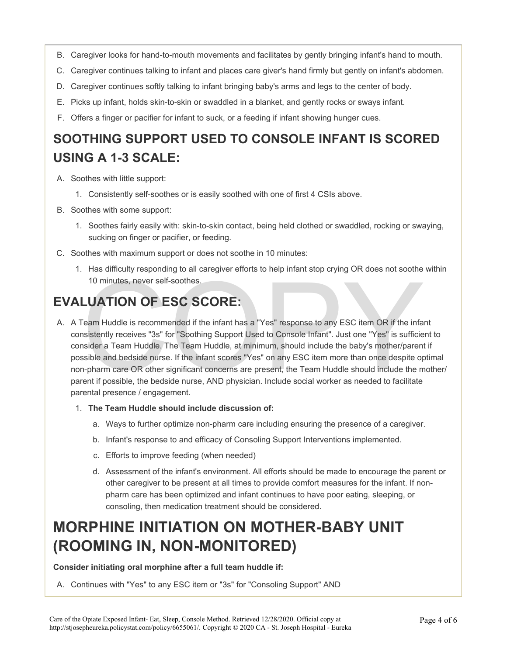- B. Caregiver looks for hand-to-mouth movements and facilitates by gently bringing infant's hand to mouth.
- C. Caregiver continues talking to infant and places care giver's hand firmly but gently on infant's abdomen.
- D. Caregiver continues softly talking to infant bringing baby's arms and legs to the center of body.
- E. Picks up infant, holds skin-to-skin or swaddled in a blanket, and gently rocks or sways infant.
- F. Offers a finger or pacifier for infant to suck, or a feeding if infant showing hunger cues.

## **SOOTHING SUPPORT USED TO CONSOLE INFANT IS SCORED USING A 1-3 SCALE:**

- A. Soothes with little support:
	- 1. Consistently self-soothes or is easily soothed with one of first 4 CSIs above.
- B. Soothes with some support:
	- 1. Soothes fairly easily with: skin-to-skin contact, being held clothed or swaddled, rocking or swaying, sucking on finger or pacifier, or feeding.
- C. Soothes with maximum support or does not soothe in 10 minutes:
	- 1. Has difficulty responding to all caregiver efforts to help infant stop crying OR does not soothe within 10 minutes, never self-soothes.

## **EVALUATION OF ESC SCORE:**

- 10 minutes, never self-soothes.<br>
LUATION OF ESC SCORE:<br>
From Huddle is recommended if the infant has a "Yes" response to any ESC item OR if the infant<br>
sistently receives "3s" for "Soothing Support Used to Console Infant". A. A Team Huddle is recommended if the infant has a "Yes" response to any ESC item OR if the infant consistently receives "3s" for "Soothing Support Used to Console Infant". Just one "Yes" is sufficient to consider a Team Huddle. The Team Huddle, at minimum, should include the baby's mother/parent if possible and bedside nurse. If the infant scores "Yes" on any ESC item more than once despite optimal non-pharm care OR other significant concerns are present, the Team Huddle should include the mother/ parent if possible, the bedside nurse, AND physician. Include social worker as needed to facilitate parental presence / engagement.
	- 1. **The Team Huddle should include discussion of:** 
		- a. Ways to further optimize non-pharm care including ensuring the presence of a caregiver.
		- b. Infant's response to and efficacy of Consoling Support Interventions implemented.
		- c. Efforts to improve feeding (when needed)
		- d. Assessment of the infant's environment. All efforts should be made to encourage the parent or other caregiver to be present at all times to provide comfort measures for the infant. If nonpharm care has been optimized and infant continues to have poor eating, sleeping, or consoling, then medication treatment should be considered.

## **MORPHINE INITIATION ON MOTHER-BABY UNIT (ROOMING IN, NON-MONITORED)**

**Consider initiating oral morphine after a full team huddle if:** 

A. Continues with "Yes" to any ESC item or "3s" for "Consoling Support" AND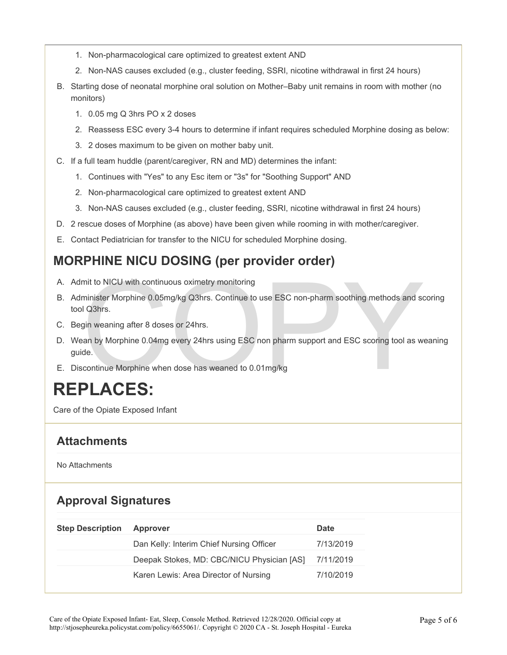- 1. Non-pharmacological care optimized to greatest extent AND
- 2. Non-NAS causes excluded (e.g., cluster feeding, SSRI, nicotine withdrawal in first 24 hours)
- B. Starting dose of neonatal morphine oral solution on Mother–Baby unit remains in room with mother (no monitors)
	- 1. 0.05 mg Q 3hrs PO x 2 doses
	- 2. Reassess ESC every 3-4 hours to determine if infant requires scheduled Morphine dosing as below:
	- 3. 2 doses maximum to be given on mother baby unit.
- C. If a full team huddle (parent/caregiver, RN and MD) determines the infant:
	- 1. Continues with "Yes" to any Esc item or "3s" for "Soothing Support" AND
	- 2. Non-pharmacological care optimized to greatest extent AND
	- 3. Non-NAS causes excluded (e.g., cluster feeding, SSRI, nicotine withdrawal in first 24 hours)
- D. 2 rescue doses of Morphine (as above) have been given while rooming in with mother/caregiver.
- E. Contact Pediatrician for transfer to the NICU for scheduled Morphine dosing.

### **MORPHINE NICU DOSING (per provider order)**

- A. Admit to NICU with continuous oximetry monitoring
- minister Morphine 0.05mg/kg Q3hrs. Continue to use ESC non-pharm soothing methods and so<br>
I Q3hrs.<br>
I Q3hrs.<br>
gin weaning after 8 doses or 24hrs.<br>
gin weaning after 8 doses or 24hrs.<br>
an by Morphine 0.04mg every 24hrs usin B. Administer Morphine 0.05mg/kg Q3hrs. Continue to use ESC non-pharm soothing methods and scoring tool Q3hrs.
- C. Begin weaning after 8 doses or 24hrs.
- D. Wean by Morphine 0.04mg every 24hrs using ESC non pharm support and ESC scoring tool as weaning guide.
- E. Discontinue Morphine when dose has weaned to 0.01mg/kg

## **REPLACES:**

Care of the Opiate Exposed Infant

### **Attachments**

No Attachments

### **Approval Signatures**

| <b>Step Description</b> | <b>Approver</b>                            | Date      |
|-------------------------|--------------------------------------------|-----------|
|                         | Dan Kelly: Interim Chief Nursing Officer   | 7/13/2019 |
|                         | Deepak Stokes, MD: CBC/NICU Physician [AS] | 7/11/2019 |
|                         | Karen Lewis: Area Director of Nursing      | 7/10/2019 |